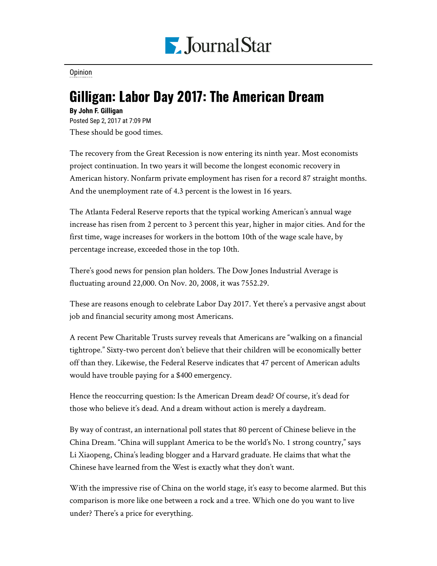

## **[Opinion](https://www.pjstar.com/search?text=Opinion)**

## Gilligan: Labor Day 2017: The American Dream

## **By John F. Gilligan**

Posted Sep 2, 2017 at 7:09 PM These should be good times.

The recovery from the Great Recession is now entering its ninth year. Most economists project continuation. In two years it will become the longest economic recovery in American history. Nonfarm private employment has risen for a record 87 straight months. And the unemployment rate of 4.3 percent is the lowest in 16 years.

The Atlanta Federal Reserve reports that the typical working American's annual wage increase has risen from 2 percent to 3 percent this year, higher in major cities. And for the first time, wage increases for workers in the bottom 10th of the wage scale have, by percentage increase, exceeded those in the top 10th.

There's good news for pension plan holders. The Dow Jones Industrial Average is fluctuating around 22,000. On Nov. 20, 2008, it was 7552.29.

These are reasons enough to celebrate Labor Day 2017. Yet there's a pervasive angst about job and financial security among most Americans.

A recent Pew Charitable Trusts survey reveals that Americans are "walking on a financial tightrope." Sixty-two percent don't believe that their children will be economically better off than they. Likewise, the Federal Reserve indicates that 47 percent of American adults would have trouble paying for a \$400 emergency.

Hence the reoccurring question: Is the American Dream dead? Of course, it's dead for those who believe it's dead. And a dream without action is merely a daydream.

By way of contrast, an international poll states that 80 percent of Chinese believe in the China Dream. "China will supplant America to be the world's No. 1 strong country," says Li Xiaopeng, China's leading blogger and a Harvard graduate. He claims that what the Chinese have learned from the West is exactly what they don't want.

With the impressive rise of China on the world stage, it's easy to become alarmed. But this comparison is more like one between a rock and a tree. Which one do you want to live under? There's a price for everything.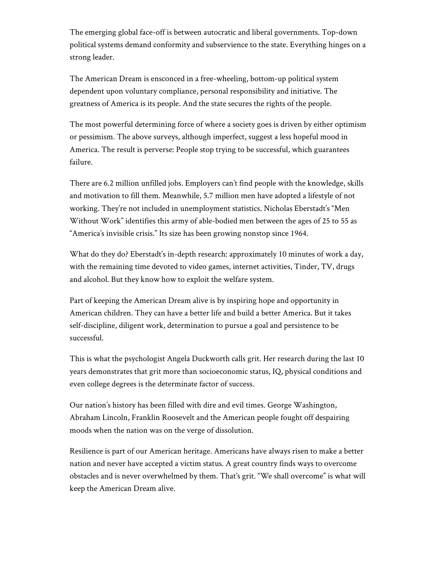The emerging global face-off is between autocratic and liberal governments. Top-down political systems demand conformity and subservience to the state. Everything hinges on a strong leader.

The American Dream is ensconced in a free-wheeling, bottom-up political system dependent upon voluntary compliance, personal responsibility and initiative. The greatness of America is its people. And the state secures the rights of the people.

The most powerful determining force of where a society goes is driven by either optimism or pessimism. The above surveys, although imperfect, suggest a less hopeful mood in America. The result is perverse: People stop trying to be successful, which guarantees failure.

There are 6.2 million unfilled jobs. Employers can't find people with the knowledge, skills and motivation to fill them. Meanwhile, 5.7 million men have adopted a lifestyle of not working. They're not included in unemployment statistics. Nicholas Eberstadt's "Men Without Work" identifies this army of able-bodied men between the ages of 25 to 55 as "America's invisible crisis." Its size has been growing nonstop since 1964.

What do they do? Eberstadt's in-depth research: approximately 10 minutes of work a day, with the remaining time devoted to video games, internet activities, Tinder, TV, drugs and alcohol. But they know how to exploit the welfare system.

Part of keeping the American Dream alive is by inspiring hope and opportunity in American children. They can have a better life and build a better America. But it takes self-discipline, diligent work, determination to pursue a goal and persistence to be successful.

This is what the psychologist Angela Duckworth calls grit. Her research during the last 10 years demonstrates that grit more than socioeconomic status, IQ, physical conditions and even college degrees is the determinate factor of success.

Our nation's history has been filled with dire and evil times. George Washington, Abraham Lincoln, Franklin Roosevelt and the American people fought off despairing moods when the nation was on the verge of dissolution.

Resilience is part of our American heritage. Americans have always risen to make a better nation and never have accepted a victim status. A great country finds ways to overcome obstacles and is never overwhelmed by them. That's grit. "We shall overcome" is what will keep the American Dream alive.